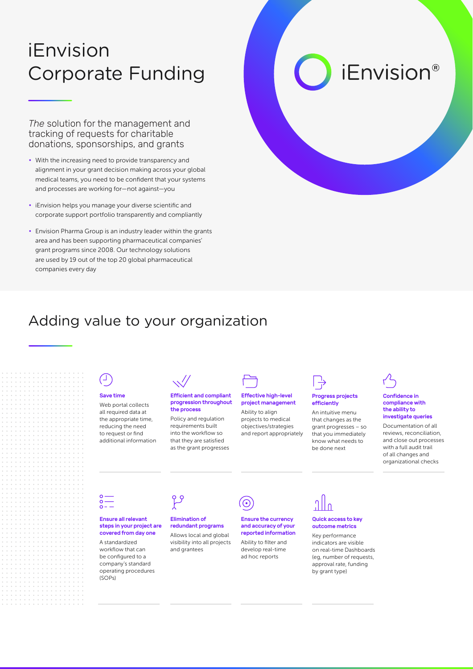## iEnvision Corporate Funding

*The* solution for the management and tracking of requests for charitable donations, sponsorships, and grants

- With the increasing need to provide transparency and alignment in your grant decision making across your global medical teams, you need to be confident that your systems and processes are working for—not against—you
- iEnvision helps you manage your diverse scientific and corporate support portfolio transparently and compliantly
- Envision Pharma Group is an industry leader within the grants area and has been supporting pharmaceutical companies' grant programs since 2008. Our technology solutions are used by 19 out of the top 20 global pharmaceutical companies every day

# *iEnvision®*

### Adding value to your organization



#### Save time

Web portal collects all required data at the appropriate time, reducing the need to request or find additional information



#### Efficient and compliant progression throughout the process

Policy and regulation requirements built into the workflow so that they are satisfied as the grant progresses



#### Effective high-level project management

Ability to align projects to medical objectives/strategies and report appropriately



#### Progress projects efficiently

An intuitive menu that changes as the grant progresses – so that you immediately know what needs to be done next



#### Confidence in compliance with the ability to investigate queries

Documentation of all reviews, reconciliation, and close out processes with a full audit trail of all changes and organizational checks



#### Ensure all relevant steps in your project are covered from day one

A standardized workflow that can be configured to a company's standard operating procedures (SOPs)



### Elimination of

redundant programs Allows local and global visibility into all projects and grantees



### Ensure the currency

and accuracy of your reported information Ability to filter and develop real-time ad hoc reports

### Quick access to key outcome metrics Key performance indicators are visible

(eg, number of requests, approval rate, funding by grant type)

on real-time Dashboards